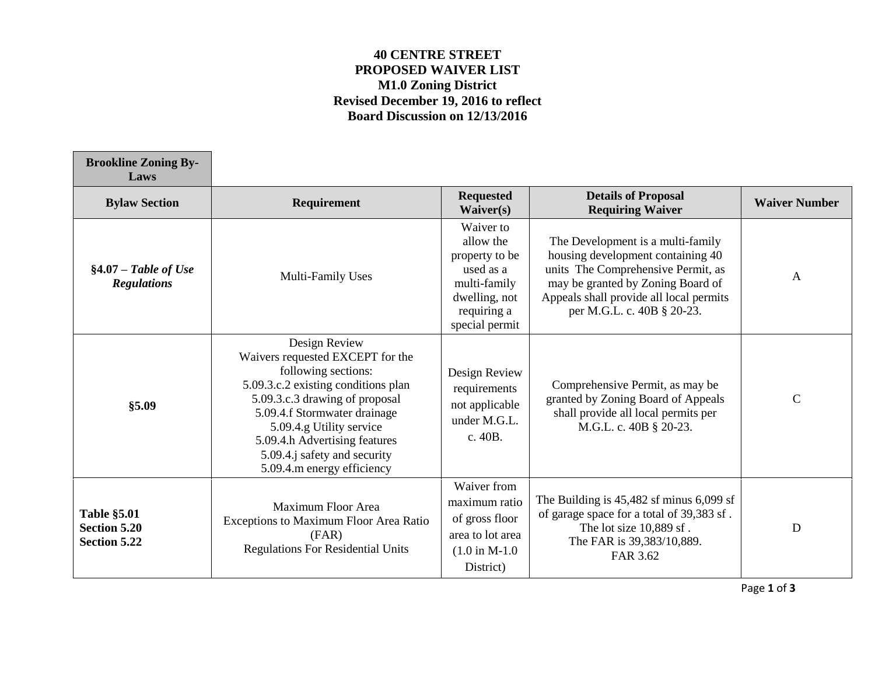## **40 CENTRE STREET PROPOSED WAIVER LIST M1.0 Zoning District Revised December 19, 2016 to reflect Board Discussion on 12/13/2016**

 $\overline{\phantom{a}}$ 

 $\overline{\phantom{a}}$ 

| <b>Brookline Zoning By-</b><br>Laws                              |                                                                                                                                                                                                                                                                                                              |                                                                                                                         |                                                                                                                                                                                                                            |                      |
|------------------------------------------------------------------|--------------------------------------------------------------------------------------------------------------------------------------------------------------------------------------------------------------------------------------------------------------------------------------------------------------|-------------------------------------------------------------------------------------------------------------------------|----------------------------------------------------------------------------------------------------------------------------------------------------------------------------------------------------------------------------|----------------------|
| <b>Bylaw Section</b>                                             | Requirement                                                                                                                                                                                                                                                                                                  | <b>Requested</b><br>Waiver(s)                                                                                           | <b>Details of Proposal</b><br><b>Requiring Waiver</b>                                                                                                                                                                      | <b>Waiver Number</b> |
| $§4.07 - Table$ of Use<br><b>Regulations</b>                     | Multi-Family Uses                                                                                                                                                                                                                                                                                            | Waiver to<br>allow the<br>property to be<br>used as a<br>multi-family<br>dwelling, not<br>requiring a<br>special permit | The Development is a multi-family<br>housing development containing 40<br>units The Comprehensive Permit, as<br>may be granted by Zoning Board of<br>Appeals shall provide all local permits<br>per M.G.L. c. 40B § 20-23. | A                    |
| \$5.09                                                           | Design Review<br>Waivers requested EXCEPT for the<br>following sections:<br>5.09.3.c.2 existing conditions plan<br>5.09.3.c.3 drawing of proposal<br>5.09.4.f Stormwater drainage<br>5.09.4.g Utility service<br>5.09.4.h Advertising features<br>5.09.4.j safety and security<br>5.09.4.m energy efficiency | Design Review<br>requirements<br>not applicable<br>under M.G.L.<br>c. 40B.                                              | Comprehensive Permit, as may be<br>granted by Zoning Board of Appeals<br>shall provide all local permits per<br>M.G.L. c. 40B § 20-23.                                                                                     | $\mathbf C$          |
| <b>Table §5.01</b><br><b>Section 5.20</b><br><b>Section 5.22</b> | Maximum Floor Area<br>Exceptions to Maximum Floor Area Ratio<br>(FAR)<br><b>Regulations For Residential Units</b>                                                                                                                                                                                            | Waiver from<br>maximum ratio<br>of gross floor<br>area to lot area<br>$(1.0 \text{ in M-1.0})$<br>District)             | The Building is $45,482$ sf minus $6,099$ sf<br>of garage space for a total of 39,383 sf.<br>The lot size 10,889 sf.<br>The FAR is 39,383/10,889.<br>FAR 3.62                                                              | D                    |

Page **1** of **3**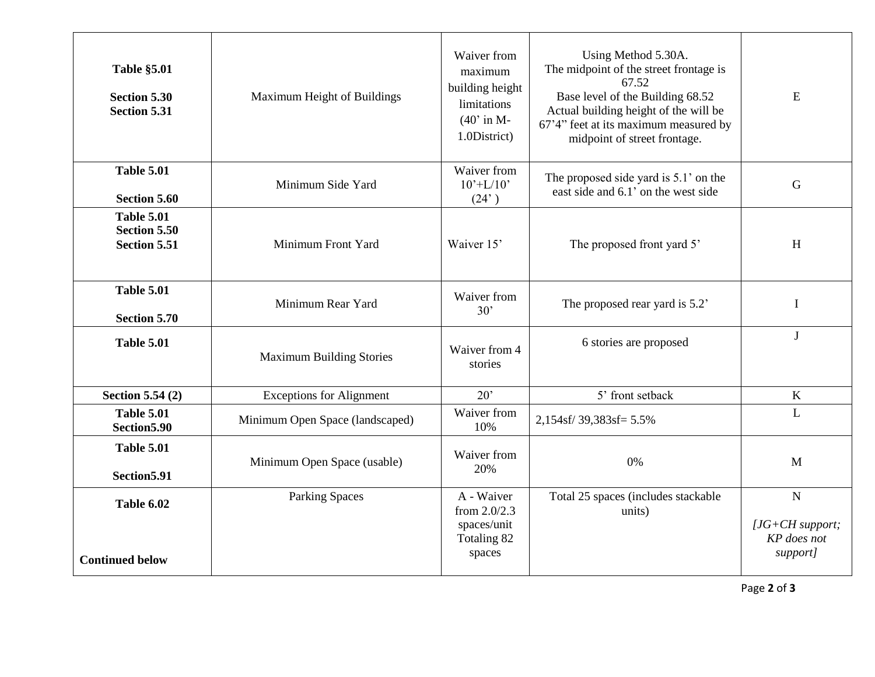| <b>Table §5.01</b><br><b>Section 5.30</b><br><b>Section 5.31</b> | Maximum Height of Buildings     | Waiver from<br>maximum<br>building height<br>limitations<br>$(40'$ in M-<br>1.0District) | Using Method 5.30A.<br>The midpoint of the street frontage is<br>67.52<br>Base level of the Building 68.52<br>Actual building height of the will be<br>67'4" feet at its maximum measured by<br>midpoint of street frontage. | E                                                           |
|------------------------------------------------------------------|---------------------------------|------------------------------------------------------------------------------------------|------------------------------------------------------------------------------------------------------------------------------------------------------------------------------------------------------------------------------|-------------------------------------------------------------|
| <b>Table 5.01</b><br><b>Section 5.60</b>                         | Minimum Side Yard               | Waiver from<br>$10^{\circ}$ +L/10 <sup><math>\circ</math></sup><br>(24)                  | The proposed side yard is 5.1' on the<br>east side and 6.1' on the west side                                                                                                                                                 | $\overline{G}$                                              |
| <b>Table 5.01</b><br><b>Section 5.50</b><br><b>Section 5.51</b>  | Minimum Front Yard              | Waiver 15'                                                                               | The proposed front yard 5'                                                                                                                                                                                                   | H                                                           |
| <b>Table 5.01</b><br><b>Section 5.70</b>                         | Minimum Rear Yard               | Waiver from<br>30'                                                                       | The proposed rear yard is 5.2'                                                                                                                                                                                               | $\bf{I}$                                                    |
| <b>Table 5.01</b>                                                | <b>Maximum Building Stories</b> | Waiver from 4<br>stories                                                                 | 6 stories are proposed                                                                                                                                                                                                       | J                                                           |
| <b>Section 5.54 (2)</b>                                          | <b>Exceptions for Alignment</b> | 20'                                                                                      | 5' front setback                                                                                                                                                                                                             | $\mathbf K$                                                 |
| <b>Table 5.01</b><br>Section 5.90                                | Minimum Open Space (landscaped) | Waiver from<br>10%                                                                       | 2,154sf/39,383sf=5.5%                                                                                                                                                                                                        | L                                                           |
| <b>Table 5.01</b><br>Section5.91                                 | Minimum Open Space (usable)     | Waiver from<br>20%                                                                       | 0%                                                                                                                                                                                                                           | $\mathbf{M}$                                                |
| <b>Table 6.02</b><br><b>Continued below</b>                      | <b>Parking Spaces</b>           | A - Waiver<br>from $2.0/2.3$<br>spaces/unit<br>Totaling 82<br>spaces                     | Total 25 spaces (includes stackable<br>units)                                                                                                                                                                                | $\mathbf N$<br>$[JG+CH support;$<br>KP does not<br>support] |

Page **2** of **3**